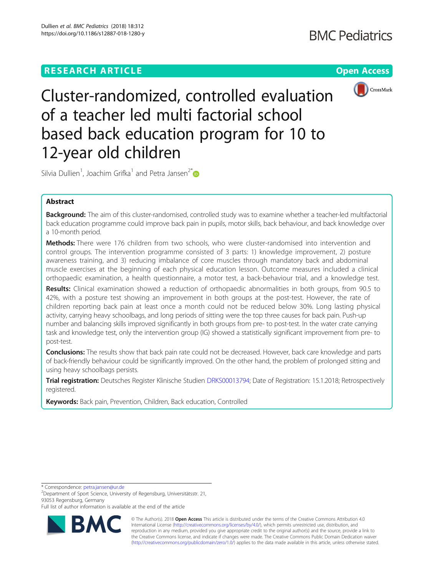# **RESEARCH ARTICLE Example 2018 CONSIDERING A RESEARCH ARTICLE**



Cluster-randomized, controlled evaluation of a teacher led multi factorial school based back education program for 10 to 12-year old children

Silvia Dullien<sup>1</sup>, Joachim Grifka<sup>1</sup> and Petra Jansen<sup>2\*</sup>

## Abstract

Background: The aim of this cluster-randomised, controlled study was to examine whether a teacher-led multifactorial back education programme could improve back pain in pupils, motor skills, back behaviour, and back knowledge over a 10-month period.

Methods: There were 176 children from two schools, who were cluster-randomised into intervention and control groups. The intervention programme consisted of 3 parts: 1) knowledge improvement, 2) posture awareness training, and 3) reducing imbalance of core muscles through mandatory back and abdominal muscle exercises at the beginning of each physical education lesson. Outcome measures included a clinical orthopaedic examination, a health questionnaire, a motor test, a back-behaviour trial, and a knowledge test.

Results: Clinical examination showed a reduction of orthopaedic abnormalities in both groups, from 90.5 to 42%, with a posture test showing an improvement in both groups at the post-test. However, the rate of children reporting back pain at least once a month could not be reduced below 30%. Long lasting physical activity, carrying heavy schoolbags, and long periods of sitting were the top three causes for back pain. Push-up number and balancing skills improved significantly in both groups from pre- to post-test. In the water crate carrying task and knowledge test, only the intervention group (IG) showed a statistically significant improvement from pre- to post-test.

**Conclusions:** The results show that back pain rate could not be decreased. However, back care knowledge and parts of back-friendly behaviour could be significantly improved. On the other hand, the problem of prolonged sitting and using heavy schoolbags persists.

Trial registration: Deutsches Register Klinische Studien [DRKS00013794](https://www.drks.de/drks_web/navigate.do?navigationId=trial.HTML&TRIAL_ID=DRKS00013794); Date of Registration: 15.1.2018; Retrospectively registered.

Keywords: Back pain, Prevention, Children, Back education, Controlled

\* Correspondence: [petra.jansen@ur.de](mailto:petra.jansen@ur.de) <sup>2</sup>

Department of Sport Science, University of Regensburg, Universitätsstr. 21, 93053 Regensburg, Germany

Full list of author information is available at the end of the article



© The Author(s). 2018 Open Access This article is distributed under the terms of the Creative Commons Attribution 4.0 International License [\(http://creativecommons.org/licenses/by/4.0/](http://creativecommons.org/licenses/by/4.0/)), which permits unrestricted use, distribution, and reproduction in any medium, provided you give appropriate credit to the original author(s) and the source, provide a link to the Creative Commons license, and indicate if changes were made. The Creative Commons Public Domain Dedication waiver [\(http://creativecommons.org/publicdomain/zero/1.0/](http://creativecommons.org/publicdomain/zero/1.0/)) applies to the data made available in this article, unless otherwise stated.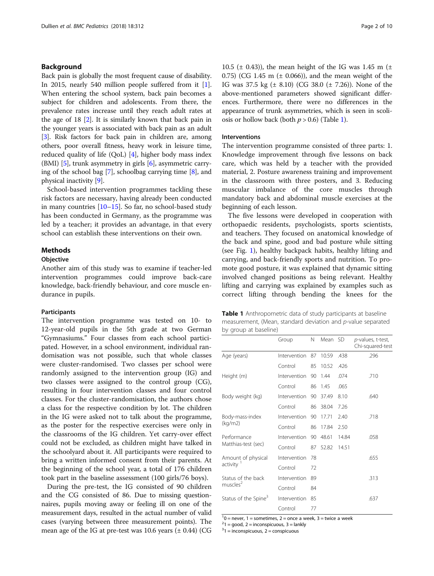## Background

Back pain is globally the most frequent cause of disability. In 2015, nearly 540 million people suffered from it [[1](#page-9-0)]. When entering the school system, back pain becomes a subject for children and adolescents. From there, the prevalence rates increase until they reach adult rates at the age of 18 [\[2\]](#page-9-0). It is similarly known that back pain in the younger years is associated with back pain as an adult [[3\]](#page-9-0). Risk factors for back pain in children are, among others, poor overall fitness, heavy work in leisure time, reduced quality of life (QoL) [\[4\]](#page-9-0), higher body mass index (BMI) [[5\]](#page-9-0), trunk asymmetry in girls [[6\]](#page-9-0), asymmetric carrying of the school bag [\[7](#page-9-0)], schoolbag carrying time [[8\]](#page-9-0), and physical inactivity [\[9](#page-9-0)].

School-based intervention programmes tackling these risk factors are necessary, having already been conducted in many countries  $[10-15]$  $[10-15]$  $[10-15]$ . So far, no school-based study has been conducted in Germany, as the programme was led by a teacher; it provides an advantage, in that every school can establish these interventions on their own.

## **Methods**

#### **Objective**

Another aim of this study was to examine if teacher-led intervention programmes could improve back-care knowledge, back-friendly behaviour, and core muscle endurance in pupils.

#### Participants

The intervention programme was tested on 10- to 12-year-old pupils in the 5th grade at two German "Gymnasiums." Four classes from each school participated. However, in a school environment, individual randomisation was not possible, such that whole classes were cluster-randomised. Two classes per school were randomly assigned to the intervention group (IG) and two classes were assigned to the control group (CG), resulting in four intervention classes and four control classes. For the cluster-randomisation, the authors chose a class for the respective condition by lot. The children in the IG were asked not to talk about the programme, as the poster for the respective exercises were only in the classrooms of the IG children. Yet carry-over effect could not be excluded, as children might have talked in the schoolyard about it. All participants were required to bring a written informed consent from their parents. At the beginning of the school year, a total of 176 children took part in the baseline assessment (100 girls/76 boys).

During the pre-test, the IG consisted of 90 children and the CG consisted of 86. Due to missing questionnaires, pupils moving away or feeling ill on one of the measurement days, resulted in the actual number of valid cases (varying between three measurement points). The mean age of the IG at pre-test was 10.6 years  $(\pm 0.44)$  (CG

10.5 ( $\pm$  0.43)), the mean height of the IG was 1.45 m ( $\pm$ 0.75) (CG 1.45 m  $(\pm 0.066)$ ), and the mean weight of the IG was 37.5 kg (± 8.10) (CG 38.0 (± 7.26)). None of the above-mentioned parameters showed significant differences. Furthermore, there were no differences in the appearance of trunk asymmetries, which is seen in scoliosis or hollow back (both  $p > 0.6$ ) (Table 1).

#### Interventions

The intervention programme consisted of three parts: 1. Knowledge improvement through five lessons on back care, which was held by a teacher with the provided material, 2. Posture awareness training and improvement in the classroom with three posters, and 3. Reducing muscular imbalance of the core muscles through mandatory back and abdominal muscle exercises at the beginning of each lesson.

The five lessons were developed in cooperation with orthopaedic residents, psychologists, sports scientists, and teachers. They focused on anatomical knowledge of the back and spine, good and bad posture while sitting (see Fig. [1\)](#page-2-0), healthy backpack habits, healthy lifting and carrying, and back-friendly sports and nutrition. To promote good posture, it was explained that dynamic sitting involved changed positions as being relevant. Healthy lifting and carrying was explained by examples such as correct lifting through bending the knees for the

| <b>Table 1</b> Anthropometric data of study participants at baseline |
|----------------------------------------------------------------------|
| measurement, (Mean, standard deviation and p-value separated         |
| by group at baseline)                                                |

|                                             | Group        | N  | Mean SD |       | p-values, t-test,<br>Chi-squared-test |
|---------------------------------------------|--------------|----|---------|-------|---------------------------------------|
| Age (years)                                 | Intervention | 87 | 10.59   | .438  | .296                                  |
|                                             | Control      | 85 | 10.52   | .426  |                                       |
| Height (m)                                  | Intervention | 90 | 1.44    | .074  | .710                                  |
|                                             | Control      | 86 | 1.45    | .065  |                                       |
| Body weight (kg)                            | Intervention | 90 | 37.49   | 8.10  | .640                                  |
|                                             | Control      | 86 | 38.04   | 7.26  |                                       |
| Body-mass-index<br>(kq/m2)                  | Intervention | 90 | 17.71   | 2.40  | .718                                  |
|                                             | Control      | 86 | 17.84   | 2.50  |                                       |
| Performance<br>Matthias-test (sec)          | Intervention | 90 | 48.61   | 14.84 | .058                                  |
|                                             | Control      | 87 | 52.82   | 14.51 |                                       |
| Amount of physical<br>activity <sup>1</sup> | Intervention | 78 |         |       | .655                                  |
|                                             | Control      | 72 |         |       |                                       |
| Status of the back<br>muscles <sup>2</sup>  | Intervention | 89 |         |       | .313                                  |
|                                             | Control      | 84 |         |       |                                       |
| Status of the Spine <sup>3</sup>            | Intervention | 85 |         |       | .637                                  |
|                                             | Control      | 77 |         |       |                                       |

 $1<sup>1</sup>0$  = never, 1 = sometimes, 2 = once a week, 3 = twice a week

 $2<sup>2</sup>1 = good$ , 2 = inconspicuous, 3 = lankly

 $31 =$  inconspicuous,  $2 =$  conspicuous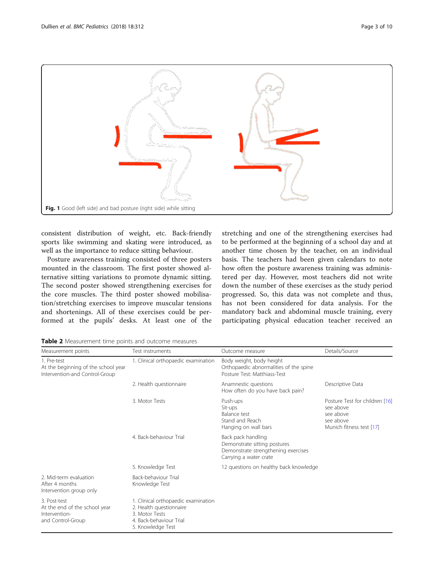<span id="page-2-0"></span>

consistent distribution of weight, etc. Back-friendly sports like swimming and skating were introduced, as well as the importance to reduce sitting behaviour.

Posture awareness training consisted of three posters mounted in the classroom. The first poster showed alternative sitting variations to promote dynamic sitting. The second poster showed strengthening exercises for the core muscles. The third poster showed mobilisation/stretching exercises to improve muscular tensions and shortenings. All of these exercises could be performed at the pupils' desks. At least one of the

stretching and one of the strengthening exercises had to be performed at the beginning of a school day and at another time chosen by the teacher, on an individual basis. The teachers had been given calendars to note how often the posture awareness training was administered per day. However, most teachers did not write down the number of these exercises as the study period progressed. So, this data was not complete and thus, has not been considered for data analysis. For the mandatory back and abdominal muscle training, every participating physical education teacher received an

Table 2 Measurement time points and outcome measures

| Measurement points                                                                   | Test instruments                                                                                                                 | Outcome measure                                                                                                     | Details/Source                                                                                    |  |
|--------------------------------------------------------------------------------------|----------------------------------------------------------------------------------------------------------------------------------|---------------------------------------------------------------------------------------------------------------------|---------------------------------------------------------------------------------------------------|--|
| 1. Pre-test<br>At the beginning of the school year<br>Intervention-and Control-Group | 1. Clinical orthopaedic examination                                                                                              | Body weight, body height<br>Orthopaedic abnormalities of the spine<br>Posture Test: Matthiass-Test                  |                                                                                                   |  |
|                                                                                      | 2. Health questionnaire                                                                                                          | Anamnestic questions<br>How often do you have back pain?                                                            | Descriptive Data                                                                                  |  |
|                                                                                      | 3. Motor Tests                                                                                                                   | Push-ups<br>Sit-ups<br>Balance test<br>Stand and Reach<br>Hanging on wall bars                                      | Posture Test for children [16]<br>see above<br>see above<br>see above<br>Munich fitness test [17] |  |
|                                                                                      | 4. Back-behaviour Trial                                                                                                          | Back pack handling<br>Demonstrate sitting postures<br>Demonstrate strengthening exercises<br>Carrying a water crate |                                                                                                   |  |
|                                                                                      | 5. Knowledge Test                                                                                                                | 12 questions on healthy back knowledge                                                                              |                                                                                                   |  |
| 2. Mid-term evaluation<br>After 4 months<br>Intervention group only                  | Back-behaviour Trial<br>Knowledge Test                                                                                           |                                                                                                                     |                                                                                                   |  |
| 3. Post-test<br>At the end of the school year<br>Intervention-<br>and Control-Group  | 1. Clinical orthopaedic examination<br>2. Health questionnaire<br>3. Motor Tests<br>4. Back-behaviour Trial<br>5. Knowledge Test |                                                                                                                     |                                                                                                   |  |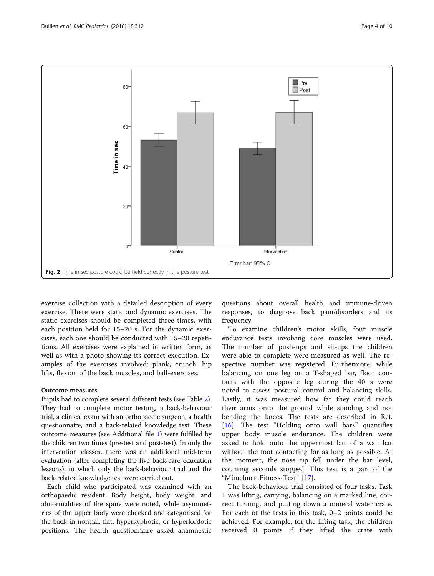<span id="page-3-0"></span>

exercise collection with a detailed description of every exercise. There were static and dynamic exercises. The static exercises should be completed three times, with each position held for 15–20 s. For the dynamic exercises, each one should be conducted with 15–20 repetitions. All exercises were explained in written form, as well as with a photo showing its correct execution. Examples of the exercises involved: plank, crunch, hip lifts, flexion of the back muscles, and ball-exercises.

### Outcome measures

Pupils had to complete several different tests (see Table [2](#page-2-0)). They had to complete motor testing, a back-behaviour trial, a clinical exam with an orthopaedic surgeon, a health questionnaire, and a back-related knowledge test. These outcome measures (see Additional file [1](#page-9-0)) were fulfilled by the children two times (pre-test and post-test). In only the intervention classes, there was an additional mid-term evaluation (after completing the five back-care education lessons), in which only the back-behaviour trial and the back-related knowledge test were carried out.

Each child who participated was examined with an orthopaedic resident. Body height, body weight, and abnormalities of the spine were noted, while asymmetries of the upper body were checked and categorised for the back in normal, flat, hyperkyphotic, or hyperlordotic positions. The health questionnaire asked anamnestic questions about overall health and immune-driven responses, to diagnose back pain/disorders and its frequency.

To examine children's motor skills, four muscle endurance tests involving core muscles were used. The number of push-ups and sit-ups the children were able to complete were measured as well. The respective number was registered. Furthermore, while balancing on one leg on a T-shaped bar, floor contacts with the opposite leg during the 40 s were noted to assess postural control and balancing skills. Lastly, it was measured how far they could reach their arms onto the ground while standing and not bending the knees. The tests are described in Ref. [[16\]](#page-9-0). The test "Holding onto wall bars" quantifies upper body muscle endurance. The children were asked to hold onto the uppermost bar of a wall bar without the foot contacting for as long as possible. At the moment, the nose tip fell under the bar level, counting seconds stopped. This test is a part of the "Münchner Fitness-Test" [\[17](#page-9-0)].

The back-behaviour trial consisted of four tasks. Task 1 was lifting, carrying, balancing on a marked line, correct turning, and putting down a mineral water crate. For each of the tests in this task, 0–2 points could be achieved. For example, for the lifting task, the children received 0 points if they lifted the crate with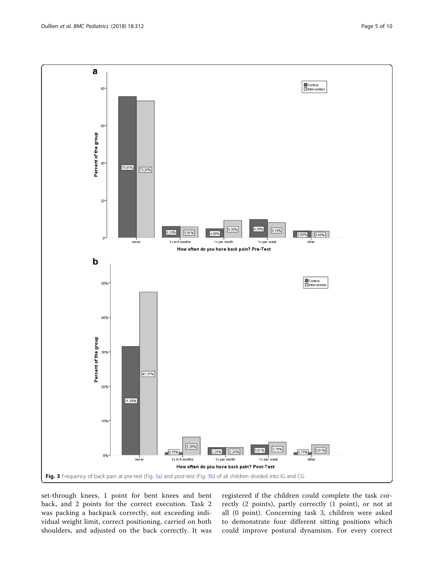<span id="page-4-0"></span>

set-through knees, 1 point for bent knees and bent back, and 2 points for the correct execution. Task 2 was packing a backpack correctly, not exceeding individual weight limit, correct positioning, carried on both shoulders, and adjusted on the back correctly. It was

registered if the children could complete the task correctly (2 points), partly correctly (1 point), or not at all (0 point). Concerning task 3, children were asked to demonstrate four different sitting positions which could improve postural dynamism. For every correct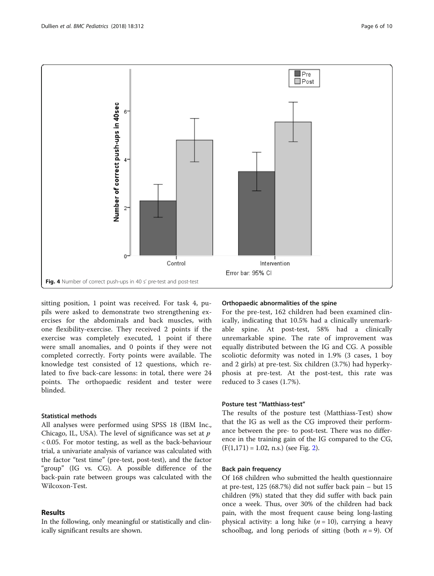<span id="page-5-0"></span>

sitting position, 1 point was received. For task 4, pupils were asked to demonstrate two strengthening exercises for the abdominals and back muscles, with one flexibility-exercise. They received 2 points if the exercise was completely executed, 1 point if there were small anomalies, and 0 points if they were not completed correctly. Forty points were available. The knowledge test consisted of 12 questions, which related to five back-care lessons: in total, there were 24 points. The orthopaedic resident and tester were blinded.

## Statistical methods

All analyses were performed using SPSS 18 (IBM Inc., Chicago, IL, USA). The level of significance was set at  $p$ < 0.05. For motor testing, as well as the back-behaviour trial, a univariate analysis of variance was calculated with the factor "test time" (pre-test, post-test), and the factor "group" (IG vs. CG). A possible difference of the back-pain rate between groups was calculated with the Wilcoxon-Test.

## Results

In the following, only meaningful or statistically and clinically significant results are shown.

## Orthopaedic abnormalities of the spine

For the pre-test, 162 children had been examined clinically, indicating that 10.5% had a clinically unremarkable spine. At post-test, 58% had a clinically unremarkable spine. The rate of improvement was equally distributed between the IG and CG. A possible scoliotic deformity was noted in 1.9% (3 cases, 1 boy and 2 girls) at pre-test. Six children (3.7%) had hyperkyphosis at pre-test. At the post-test, this rate was reduced to 3 cases (1.7%).

#### Posture test "Matthiass-test"

The results of the posture test (Matthiass-Test) show that the IG as well as the CG improved their performance between the pre- to post-test. There was no difference in the training gain of the IG compared to the CG,  $(F(1,171) = 1.02, n.s.)$  $(F(1,171) = 1.02, n.s.)$  $(F(1,171) = 1.02, n.s.)$  (see Fig. 2).

#### Back pain frequency

Of 168 children who submitted the health questionnaire at pre-test, 125 (68.7%) did not suffer back pain – but 15 children (9%) stated that they did suffer with back pain once a week. Thus, over 30% of the children had back pain, with the most frequent cause being long-lasting physical activity: a long hike  $(n = 10)$ , carrying a heavy schoolbag, and long periods of sitting (both  $n = 9$ ). Of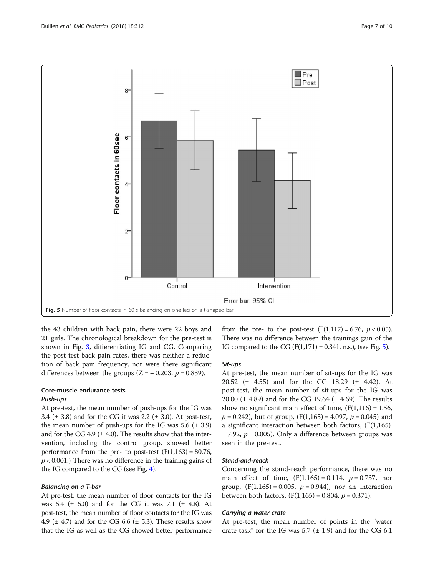

the 43 children with back pain, there were 22 boys and 21 girls. The chronological breakdown for the pre-test is shown in Fig. [3,](#page-4-0) differentiating IG and CG. Comparing the post-test back pain rates, there was neither a reduction of back pain frequency, nor were there significant differences between the groups ( $Z = -0.203$ ,  $p = 0.839$ ).

## Core-muscle endurance tests Push-ups

At pre-test, the mean number of push-ups for the IG was 3.4 ( $\pm$  3.8) and for the CG it was 2.2 ( $\pm$  3.0). At post-test, the mean number of push-ups for the IG was  $5.6$  ( $\pm$  3.9) and for the CG 4.9 ( $\pm$  4.0). The results show that the intervention, including the control group, showed better performance from the pre- to post-test  $(F(1,163) = 80.76,$  $p < 0.001$ .) There was no difference in the training gains of the IG compared to the CG (see Fig. [4\)](#page-5-0).

#### Balancing on a T-bar

At pre-test, the mean number of floor contacts for the IG was 5.4 ( $\pm$  5.0) and for the CG it was 7.1 ( $\pm$  4.8). At post-test, the mean number of floor contacts for the IG was 4.9 ( $\pm$  4.7) and for the CG 6.6 ( $\pm$  5.3). These results show that the IG as well as the CG showed better performance

from the pre- to the post-test  $(F(1,117) = 6.76, p < 0.05)$ . There was no difference between the trainings gain of the IG compared to the CG  $(F(1,171) = 0.341, n.s.)$ , (see Fig. 5).

#### Sit-ups

At pre-test, the mean number of sit-ups for the IG was 20.52 (± 4.55) and for the CG 18.29 (± 4.42). At post-test, the mean number of sit-ups for the IG was 20.00 (± 4.89) and for the CG 19.64 (± 4.69). The results show no significant main effect of time,  $(F(1,116) = 1.56,$  $p = 0.242$ , but of group,  $(F(1,165) = 4.097, p = 0.045)$  and a significant interaction between both factors,  $(F(1,165))$  $= 7.92$ ,  $p = 0.005$ ). Only a difference between groups was seen in the pre-test.

## Stand-and-reach

Concerning the stand-reach performance, there was no main effect of time,  $(F(1.165) = 0.114, p = 0.737,$  nor group,  $(F(1.165) = 0.005, p = 0.944)$ , nor an interaction between both factors,  $(F(1,165) = 0.804, p = 0.371)$ .

#### Carrying a water crate

At pre-test, the mean number of points in the "water crate task" for the IG was 5.7  $(\pm 1.9)$  and for the CG 6.1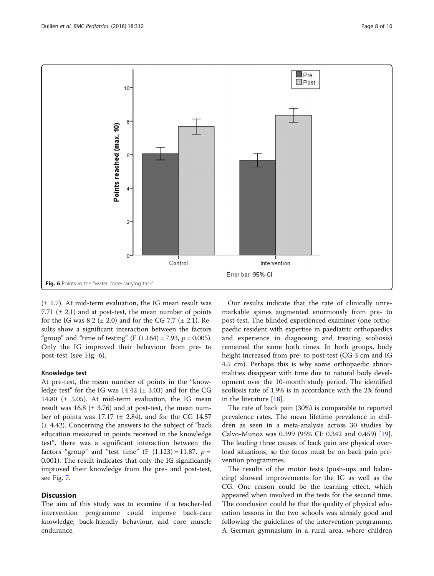

 $(\pm 1.7)$ . At mid-term evaluation, the IG mean result was 7.71  $(\pm 2.1)$  and at post-test, the mean number of points for the IG was 8.2 ( $\pm$  2.0) and for the CG 7.7 ( $\pm$  2.1). Results show a significant interaction between the factors "group" and "time of testing" (F  $(1.164) = 7.93$ ,  $p = 0.005$ ). Only the IG improved their behaviour from pre- to post-test (see Fig. 6).

## Knowledge test

At pre-test, the mean number of points in the "knowledge test" for the IG was  $14.42$  ( $\pm$  3.03) and for the CG 14.80 ( $\pm$  5.05). At mid-term evaluation, the IG mean result was  $16.8$  ( $\pm$  3.76) and at post-test, the mean number of points was  $17.17$  ( $\pm$  2.84), and for the CG 14.57 (± 4.42). Concerning the answers to the subject of "back education measured in points received in the knowledge test", there was a significant interaction between the factors "group" and "test time" (F  $(1.123) = 11.87$ ,  $p =$ 0.001). The result indicates that only the IG significantly improved their knowledge from the pre- and post-test, see Fig. [7.](#page-8-0)

## **Discussion**

The aim of this study was to examine if a teacher-led intervention programme could improve back-care knowledge, back-friendly behaviour, and core muscle endurance.

Our results indicate that the rate of clinically unremarkable spines augmented enormously from pre- to post-test. The blinded experienced examiner (one orthopaedic resident with expertise in paediatric orthopaedics and experience in diagnosing and treating scoliosis) remained the same both times. In both groups, body height increased from pre- to post-test (CG 3 cm and IG 4.5 cm). Perhaps this is why some orthopaedic abnormalities disappear with time due to natural body development over the 10-month study period. The identified scoliosis rate of 1.9% is in accordance with the 2% found in the literature [[18\]](#page-9-0).

The rate of back pain (30%) is comparable to reported prevalence rates. The mean lifetime prevalence in children as seen in a meta-analysis across 30 studies by Calvo-Munoz was 0.399 (95% CI: 0.342 and 0.459) [\[19](#page-9-0)]. The leading three causes of back pain are physical overload situations, so the focus must be on back pain prevention programmes.

The results of the motor tests (push-ups and balancing) showed improvements for the IG as well as the CG. One reason could be the learning effect, which appeared when involved in the tests for the second time. The conclusion could be that the quality of physical education lessons in the two schools was already good and following the guidelines of the intervention programme. A German gymnasium in a rural area, where children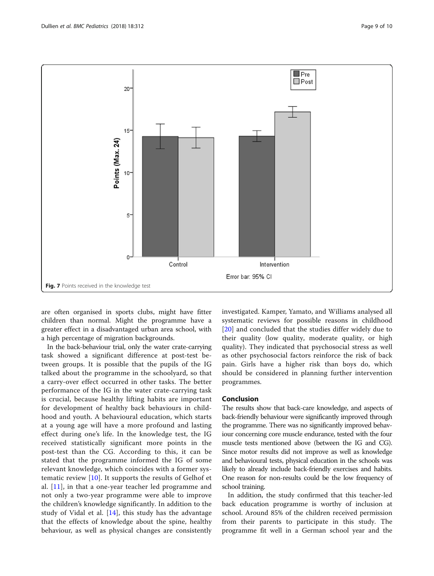<span id="page-8-0"></span>

are often organised in sports clubs, might have fitter children than normal. Might the programme have a greater effect in a disadvantaged urban area school, with a high percentage of migration backgrounds.

In the back-behaviour trial, only the water crate-carrying task showed a significant difference at post-test between groups. It is possible that the pupils of the IG talked about the programme in the schoolyard, so that a carry-over effect occurred in other tasks. The better performance of the IG in the water crate-carrying task is crucial, because healthy lifting habits are important for development of healthy back behaviours in childhood and youth. A behavioural education, which starts at a young age will have a more profound and lasting effect during one's life. In the knowledge test, the IG received statistically significant more points in the post-test than the CG. According to this, it can be stated that the programme informed the IG of some relevant knowledge, which coincides with a former systematic review [[10\]](#page-9-0). It supports the results of Gelhof et al. [[11](#page-9-0)], in that a one-year teacher led programme and not only a two-year programme were able to improve the children's knowledge significantly. In addition to the study of Vidal et al.  $[14]$  $[14]$ , this study has the advantage that the effects of knowledge about the spine, healthy behaviour, as well as physical changes are consistently

investigated. Kamper, Yamato, and Williams analysed all systematic reviews for possible reasons in childhood [[20\]](#page-9-0) and concluded that the studies differ widely due to their quality (low quality, moderate quality, or high quality). They indicated that psychosocial stress as well as other psychosocial factors reinforce the risk of back pain. Girls have a higher risk than boys do, which should be considered in planning further intervention programmes.

### Conclusion

The results show that back-care knowledge, and aspects of back-friendly behaviour were significantly improved through the programme. There was no significantly improved behaviour concerning core muscle endurance, tested with the four muscle tests mentioned above (between the IG and CG). Since motor results did not improve as well as knowledge and behavioural tests, physical education in the schools was likely to already include back-friendly exercises and habits. One reason for non-results could be the low frequency of school training.

In addition, the study confirmed that this teacher-led back education programme is worthy of inclusion at school. Around 85% of the children received permission from their parents to participate in this study. The programme fit well in a German school year and the